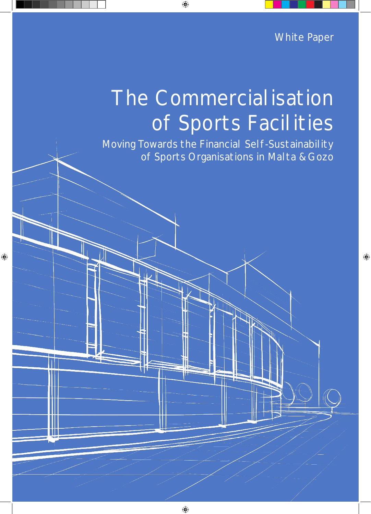White Paper

 $\bigoplus$ 

# The Commercialisation of Sports Facilities

 $\bigoplus$ 

Moving Towards the Financial Self-Sustainability of Sports Organisations in Malta & Gozo

 $\bigoplus$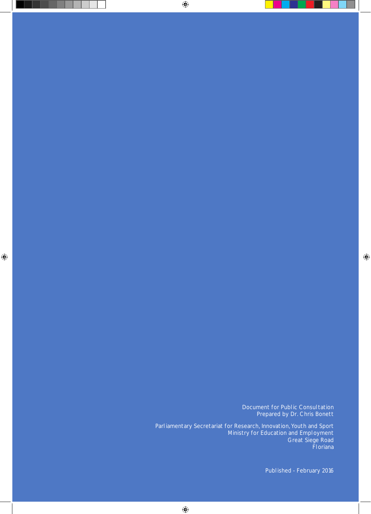Document for Public Consultation Prepared by Dr. Chris Bonett  $\bigoplus$ 

Parliamentary Secretariat for Research, Innovation, Youth and Sport Ministry for Education and Employment Great Siege Road Floriana

Published - February 2016

 $\bigoplus$ 

 $\bigoplus$ 

 $\bigoplus$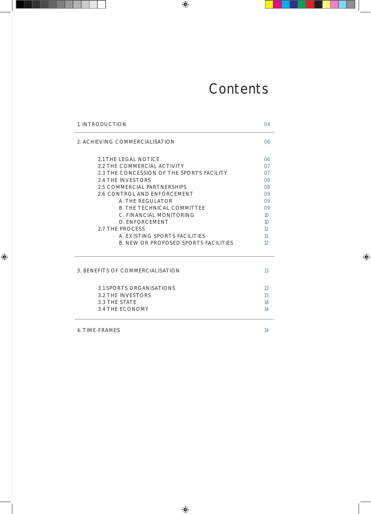# **Contents**

∐

 $\bigoplus$ 

| 1. INTRODUCTION                           | 04              |
|-------------------------------------------|-----------------|
| 2. ACHIEVING COMMERCIALISATION            | 06              |
| 2.1 THE LEGAL NOTICE                      | 06              |
| 2.2 THE COMMERCIAL ACTIVITY               | 07              |
| 2.3 THE CONCESSION OF THE SPORTS FACILITY | 07              |
| <b>2.4 THE INVESTORS</b>                  | 08              |
| 2.5 COMMERCIAL PARTNERSHIPS               | 08              |
| 2.6 CONTROL AND ENFORCEMENT               | 09              |
| A. THE REGULATOR                          | 09              |
| <b>B. THE TECHNICAL COMMITTEE</b>         | 09              |
| C. FINANCIAL MONITORING                   | 10 <sup>1</sup> |
| D. ENFORCEMENT                            | 10 <sup>1</sup> |
| 2.7 THE PROCESS                           | 11              |
| A. EXISTING SPORTS FACILITIES             | 11              |
| B. NEW OR PROPOSED SPORTS FACILITIES      | 12              |
| 3. BENEFITS OF COMMERCIALISATION          | 13              |
|                                           |                 |
| <b>3.1 SPORTS ORGANISATIONS</b>           | 13              |
| 3.2 THE INVESTORS                         | 13              |
| 3.3 THE STATE                             | 14              |

 $\bigoplus$ 

4. TIME-FRAMES

a ka

 $\bigoplus$ 

3.4 THE ECONOMY

14

14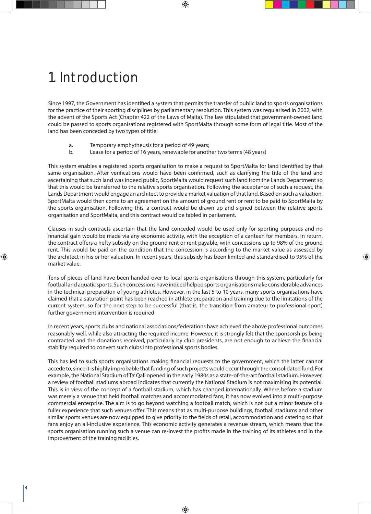## 1. Introduction

4

⊕

Since 1997, the Government has identified a system that permits the transfer of public land to sports organisations for the practice of their sporting disciplines by parliamentary resolution. This system was regularised in 2002, with the advent of the Sports Act (Chapter 422 of the Laws of Malta). The law stipulated that government-owned land could be passed to sports organisations registered with SportMalta through some form of legal title. Most of the land has been conceded by two types of title:

⊕

- a. Temporary emphytheusis for a period of 49 years;
- b. Lease for a period of 16 years, renewable for another two terms (48 years)

This system enables a registered sports organisation to make a request to SportMalta for land identified by that same organisation. After verifications would have been confirmed, such as clarifying the title of the land and ascertaining that such land was indeed public, SportMalta would request such land from the Lands Department so that this would be transferred to the relative sports organisation. Following the acceptance of such a request, the Lands Department would engage an architect to provide a market valuation of that land. Based on such a valuation, SportMalta would then come to an agreement on the amount of ground rent or rent to be paid to SportMalta by the sports organisation. Following this, a contract would be drawn up and signed between the relative sports organisation and SportMalta, and this contract would be tabled in parliament.

Clauses in such contracts ascertain that the land conceded would be used only for sporting purposes and no financial gain would be made via any economic activity, with the exception of a canteen for members. In return, the contract offers a hefty subsidy on the ground rent or rent payable, with concessions up to 98% of the ground rent. This would be paid on the condition that the concession is according to the market value as assessed by the architect in his or her valuation. In recent years, this subsidy has been limited and standardised to 95% of the market value.

Tens of pieces of land have been handed over to local sports organisations through this system, particularly for football and aquatic sports. Such concessions have indeed helped sports organisations make considerable advances in the technical preparation of young athletes. However, in the last 5 to 10 years, many sports organisations have claimed that a saturation point has been reached in athlete preparation and training due to the limitations of the current system, so for the next step to be successful (that is, the transition from amateur to professional sport) further government intervention is required.

In recent years, sports clubs and national associations/federations have achieved the above professional outcomes reasonably well, while also attracting the required income. However, it is strongly felt that the sponsorships being contracted and the donations received, particularly by club presidents, are not enough to achieve the financial stability required to convert such clubs into professional sports bodies.

This has led to such sports organisations making financial requests to the government, which the latter cannot accede to, since it is highly improbable that funding of such projects would occur through the consolidated fund. For example, the National Stadium of Ta' Qali opened in the early 1980s as a state-of-the-art football stadium. However, a review of football stadiums abroad indicates that currently the National Stadium is not maximising its potential. This is in view of the concept of a football stadium, which has changed internationally. Where before a stadium was merely a venue that held football matches and accommodated fans, it has now evolved into a multi-purpose commercial enterprise. The aim is to go beyond watching a football match, which is not but a minor feature of a fuller experience that such venues offer. This means that as multi-purpose buildings, football stadiums and other similar sports venues are now equipped to give priority to the fields of retail, accommodation and catering so that fans enjoy an all-inclusive experience. This economic activity generates a revenue stream, which means that the sports organisation running such a venue can re-invest the profits made in the training of its athletes and in the improvement of the training facilities.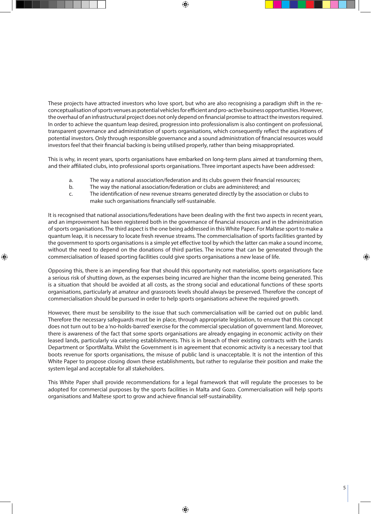These projects have attracted investors who love sport, but who are also recognising a paradigm shift in the reconceptualisation of sports venues as potential vehicles for efficient and pro-active business opportunities. However, the overhaul of an infrastructural project does not only depend on financial promise to attract the investors required. In order to achieve the quantum leap desired, progression into professionalism is also contingent on professional, transparent governance and administration of sports organisations, which consequently reflect the aspirations of potential investors. Only through responsible governance and a sound administration of financial resources would investors feel that their financial backing is being utilised properly, rather than being misappropriated.

⊕

This is why, in recent years, sports organisations have embarked on long-term plans aimed at transforming them, and their affiliated clubs, into professional sports organisations. Three important aspects have been addressed:

- a. The way a national association/federation and its clubs govern their financial resources;
- b. The way the national association/federation or clubs are administered; and

⊕

c. The identification of new revenue streams generated directly by the association or clubs to make such organisations financially self-sustainable.

It is recognised that national associations/federations have been dealing with the first two aspects in recent years, and an improvement has been registered both in the governance of financial resources and in the administration of sports organisations. The third aspect is the one being addressed in this White Paper. For Maltese sport to make a quantum leap, it is necessary to locate fresh revenue streams. The commercialisation of sports facilities granted by the government to sports organisations is a simple yet effective tool by which the latter can make a sound income, without the need to depend on the donations of third parties. The income that can be generated through the commercialisation of leased sporting facilities could give sports organisations a new lease of life.

Opposing this, there is an impending fear that should this opportunity not materialise, sports organisations face a serious risk of shutting down, as the expenses being incurred are higher than the income being generated. This is a situation that should be avoided at all costs, as the strong social and educational functions of these sports organisations, particularly at amateur and grassroots levels should always be preserved. Therefore the concept of commercialisation should be pursued in order to help sports organisations achieve the required growth.

However, there must be sensibility to the issue that such commercialisation will be carried out on public land. Therefore the necessary safeguards must be in place, through appropriate legislation, to ensure that this concept does not turn out to be a 'no-holds-barred' exercise for the commercial speculation of government land. Moreover, there is awareness of the fact that some sports organisations are already engaging in economic activity on their leased lands, particularly via catering establishments. This is in breach of their existing contracts with the Lands Department or SportMalta. Whilst the Government is in agreement that economic activity is a necessary tool that boots revenue for sports organisations, the misuse of public land is unacceptable. It is not the intention of this White Paper to propose closing down these establishments, but rather to regularise their position and make the system legal and acceptable for all stakeholders.

This White Paper shall provide recommendations for a legal framework that will regulate the processes to be adopted for commercial purposes by the sports facilities in Malta and Gozo. Commercialisation will help sports organisations and Maltese sport to grow and achieve financial self-sustainability.

⊕

5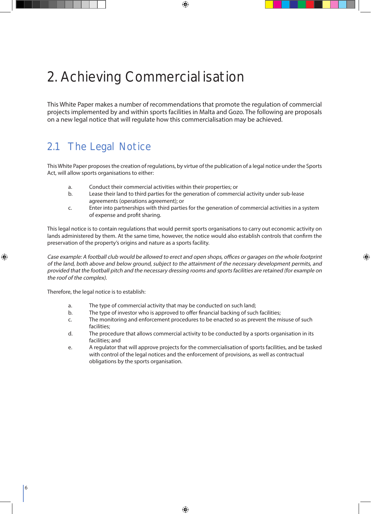# 2. Achieving Commercialisation

This White Paper makes a number of recommendations that promote the regulation of commercial projects implemented by and within sports facilities in Malta and Gozo. The following are proposals on a new legal notice that will regulate how this commercialisation may be achieved.

⊕

### 2.1 The Legal Notice

This White Paper proposes the creation of regulations, by virtue of the publication of a legal notice under the Sports Act, will allow sports organisations to either:

- a. Conduct their commercial activities within their properties; or
- b. Lease their land to third parties for the generation of commercial activity under sub-lease agreements (operations agreement); or
- c. Enter into partnerships with third parties for the generation of commercial activities in a system of expense and profit sharing.

⊕

This legal notice is to contain regulations that would permit sports organisations to carry out economic activity on lands administered by them. At the same time, however, the notice would also establish controls that confirm the preservation of the property's origins and nature as a sports facility.

Case example: A football club would be allowed to erect and open shops, offices or garages on the whole footprint of the land, both above and below ground, subject to the attainment of the necessary development permits, and provided that the football pitch and the necessary dressing rooms and sports facilities are retained (for example on the roof of the complex).

Therefore, the legal notice is to establish:

- a. The type of commercial activity that may be conducted on such land;
- b. The type of investor who is approved to offer financial backing of such facilities;
- c. The monitoring and enforcement procedures to be enacted so as prevent the misuse of such facilities;
- d. The procedure that allows commercial activity to be conducted by a sports organisation in its facilities; and

 $\bigoplus$ 

e. A regulator that will approve projects for the commercialisation of sports facilities, and be tasked with control of the legal notices and the enforcement of provisions, as well as contractual obligations by the sports organisation.

6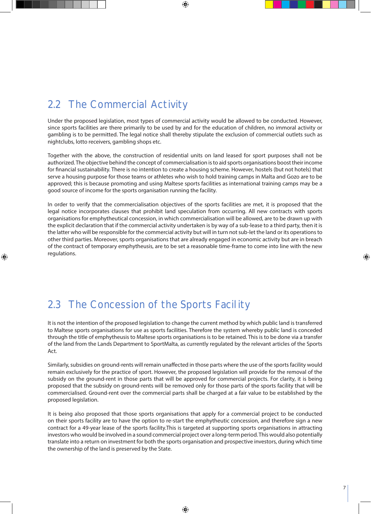### 2.2 The Commercial Activity

⊕

Under the proposed legislation, most types of commercial activity would be allowed to be conducted. However, since sports facilities are there primarily to be used by and for the education of children, no immoral activity or gambling is to be permitted. The legal notice shall thereby stipulate the exclusion of commercial outlets such as nightclubs, lotto receivers, gambling shops etc.

⊕

Together with the above, the construction of residential units on land leased for sport purposes shall not be authorized. The objective behind the concept of commercialisation is to aid sports organisations boost their income for financial sustainability. There is no intention to create a housing scheme. However, hostels (but not hotels) that serve a housing purpose for those teams or athletes who wish to hold training camps in Malta and Gozo are to be approved; this is because promoting and using Maltese sports facilities as international training camps may be a good source of income for the sports organisation running the facility.

In order to verify that the commercialisation objectives of the sports facilities are met, it is proposed that the legal notice incorporates clauses that prohibit land speculation from occurring. All new contracts with sports organisations for emphytheutical concession, in which commercialisation will be allowed, are to be drawn up with the explicit declaration that if the commercial activity undertaken is by way of a sub-lease to a third party, then it is the latter who will be responsible for the commercial activity but will in turn not sub-let the land or its operations to other third parties. Moreover, sports organisations that are already engaged in economic activity but are in breach of the contract of temporary emphytheusis, are to be set a reasonable time-frame to come into line with the new regulations.

### 2.3 The Concession of the Sports Facility

It is not the intention of the proposed legislation to change the current method by which public land is transferred to Maltese sports organisations for use as sports facilities. Therefore the system whereby public land is conceded through the title of emphytheusis to Maltese sports organisations is to be retained. This is to be done via a transfer of the land from the Lands Department to SportMalta, as currently regulated by the relevant articles of the Sports Act.

Similarly, subsidies on ground-rents will remain unaffected in those parts where the use of the sports facility would remain exclusively for the practice of sport. However, the proposed legislation will provide for the removal of the subsidy on the ground-rent in those parts that will be approved for commercial projects. For clarity, it is being proposed that the subsidy on ground-rents will be removed only for those parts of the sports facility that will be commercialised. Ground-rent over the commercial parts shall be charged at a fair value to be established by the proposed legislation.

It is being also proposed that those sports organisations that apply for a commercial project to be conducted on their sports facility are to have the option to re-start the emphytheutic concession, and therefore sign a new contract for a 49-year lease of the sports facility.This is targeted at supporting sports organisations in attracting investors who would be involved in a sound commercial project over a long-term period. This would also potentially translate into a return on investment for both the sports organisation and prospective investors, during which time the ownership of the land is preserved by the State.

 $\bigoplus$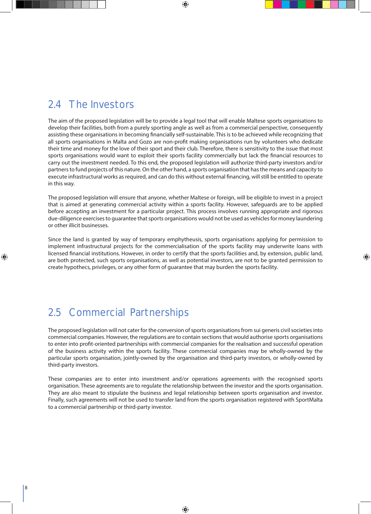2.4 The Investors

The aim of the proposed legislation will be to provide a legal tool that will enable Maltese sports organisations to develop their facilities, both from a purely sporting angle as well as from a commercial perspective, consequently assisting these organisations in becoming financially self-sustainable. This is to be achieved while recognizing that all sports organisations in Malta and Gozo are non-profit making organisations run by volunteers who dedicate their time and money for the love of their sport and their club. Therefore, there is sensitivity to the issue that most sports organisations would want to exploit their sports facility commercially but lack the financial resources to carry out the investment needed. To this end, the proposed legislation will authorize third-party investors and/or partners to fund projects of this nature. On the other hand, a sports organisation that has the means and capacity to execute infrastructural works as required, and can do this without external financing, will still be entitled to operate in this way.

⊕

The proposed legislation will ensure that anyone, whether Maltese or foreign, will be eligible to invest in a project that is aimed at generating commercial activity within a sports facility. However, safeguards are to be applied before accepting an investment for a particular project. This process involves running appropriate and rigorous due-diligence exercises to guarantee that sports organisations would not be used as vehicles for money laundering or other illicit businesses.

Since the land is granted by way of temporary emphytheusis, sports organisations applying for permission to implement infrastructural projects for the commercialisation of the sports facility may underwrite loans with licensed financial institutions. However, in order to certify that the sports facilities and, by extension, public land, are both protected, such sports organisations, as well as potential investors, are not to be granted permission to create hypothecs, privileges, or any other form of guarantee that may burden the sports facility.

⊕

### 2.5 Commercial Partnerships

The proposed legislation will not cater for the conversion of sports organisations from sui generis civil societies into commercial companies. However, the regulations are to contain sections that would authorise sports organisations to enter into profit-oriented partnerships with commercial companies for the realisation and successful operation of the business activity within the sports facility. These commercial companies may be wholly-owned by the particular sports organisation, jointly-owned by the organisation and third-party investors, or wholly-owned by third-party investors.

These companies are to enter into investment and/or operations agreements with the recognised sports organisation. These agreements are to regulate the relationship between the investor and the sports organisation. They are also meant to stipulate the business and legal relationship between sports organisation and investor. Finally, such agreements will not be used to transfer land from the sports organisation registered with SportMalta to a commercial partnership or third-party investor.

 $\bigoplus$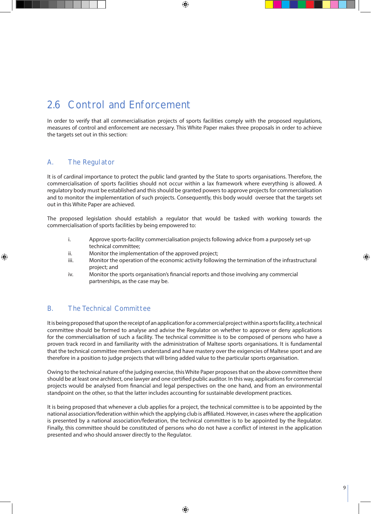### 2.6 Control and Enforcement

In order to verify that all commercialisation projects of sports facilities comply with the proposed regulations, measures of control and enforcement are necessary. This White Paper makes three proposals in order to achieve the targets set out in this section:

⊕

#### A. The Regulator

⊕

It is of cardinal importance to protect the public land granted by the State to sports organisations. Therefore, the commercialisation of sports facilities should not occur within a lax framework where everything is allowed. A regulatory body must be established and this should be granted powers to approve projects for commercialisation and to monitor the implementation of such projects. Consequently, this body would oversee that the targets set out in this White Paper are achieved.

The proposed legislation should establish a regulator that would be tasked with working towards the commercialisation of sports facilities by being empowered to:

- i. Approve sports-facility commercialisation projects following advice from a purposely set-up technical committee;
- ii. Monitor the implementation of the approved project;
- iii. Monitor the operation of the economic activity following the termination of the infrastructural project; and
- iv. Monitor the sports organisation's financial reports and those involving any commercial partnerships, as the case may be.

#### B. The Technical Committee

It is being proposed that upon the receipt of an application for a commercial project within a sports facility, a technical committee should be formed to analyse and advise the Regulator on whether to approve or deny applications for the commercialisation of such a facility. The technical committee is to be composed of persons who have a proven track record in and familiarity with the administration of Maltese sports organisations. It is fundamental that the technical committee members understand and have mastery over the exigencies of Maltese sport and are therefore in a position to judge projects that will bring added value to the particular sports organisation.

Owing to the technical nature of the judging exercise, this White Paper proposes that on the above committee there should be at least one architect, one lawyer and one certified public auditor. In this way, applications for commercial projects would be analysed from financial and legal perspectives on the one hand, and from an environmental standpoint on the other, so that the latter includes accounting for sustainable development practices.

It is being proposed that whenever a club applies for a project, the technical committee is to be appointed by the national association/federation within which the applying club is affiliated. However, in cases where the application is presented by a national association/federation, the technical committee is to be appointed by the Regulator. Finally, this committee should be constituted of persons who do not have a conflict of interest in the application presented and who should answer directly to the Regulator.

 $\bigoplus$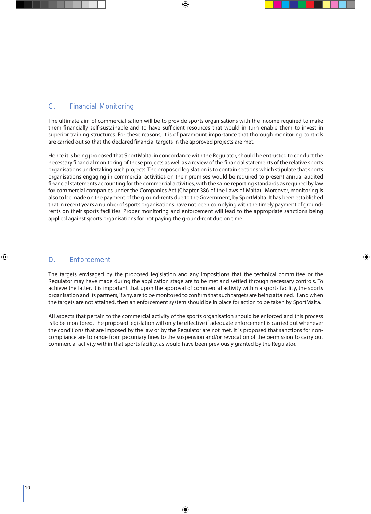#### C. Financial Monitoring

The ultimate aim of commercialisation will be to provide sports organisations with the income required to make them financially self-sustainable and to have sufficient resources that would in turn enable them to invest in superior training structures. For these reasons, it is of paramount importance that thorough monitoring controls are carried out so that the declared financial targets in the approved projects are met.

⊕

Hence it is being proposed that SportMalta, in concordance with the Regulator, should be entrusted to conduct the necessary financial monitoring of these projects as well as a review of the financial statements of the relative sports organisations undertaking such projects. The proposed legislation is to contain sections which stipulate that sports organisations engaging in commercial activities on their premises would be required to present annual audited financial statements accounting for the commercial activities, with the same reporting standards as required by law for commercial companies under the Companies Act (Chapter 386 of the Laws of Malta). Moreover, monitoring is also to be made on the payment of the ground-rents due to the Government, by SportMalta. It has been established that in recent years a number of sports organisations have not been complying with the timely payment of groundrents on their sports facilities. Proper monitoring and enforcement will lead to the appropriate sanctions being applied against sports organisations for not paying the ground-rent due on time.

#### D. Enforcement

The targets envisaged by the proposed legislation and any impositions that the technical committee or the Regulator may have made during the application stage are to be met and settled through necessary controls. To achieve the latter, it is important that upon the approval of commercial activity within a sports facility, the sports organisation and its partners, if any, are to be monitored to confirm that such targets are being attained. If and when the targets are not attained, then an enforcement system should be in place for action to be taken by SportMalta.

⊕

All aspects that pertain to the commercial activity of the sports organisation should be enforced and this process is to be monitored. The proposed legislation will only be effective if adequate enforcement is carried out whenever the conditions that are imposed by the law or by the Regulator are not met. It is proposed that sanctions for noncompliance are to range from pecuniary fines to the suspension and/or revocation of the permission to carry out commercial activity within that sports facility, as would have been previously granted by the Regulator.

⊕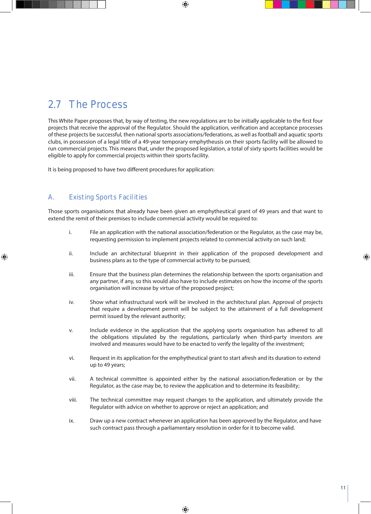### 2.7 The Process

This White Paper proposes that, by way of testing, the new regulations are to be initially applicable to the first four projects that receive the approval of the Regulator. Should the application, verification and acceptance processes of these projects be successful, then national sports associations/federations, as well as football and aquatic sports clubs, in possession of a legal title of a 49-year temporary emphytheusis on their sports facility will be allowed to run commercial projects. This means that, under the proposed legislation, a total of sixty sports facilities would be eligible to apply for commercial projects within their sports facility.

⊕

It is being proposed to have two different procedures for application:

#### A. Existing Sports Facilities

⊕

Those sports organisations that already have been given an emphytheutical grant of 49 years and that want to extend the remit of their premises to include commercial activity would be required to:

- i. File an application with the national association/federation or the Regulator, as the case may be, requesting permission to implement projects related to commercial activity on such land;
- ii. Include an architectural blueprint in their application of the proposed development and business plans as to the type of commercial activity to be pursued;
- iii. Ensure that the business plan determines the relationship between the sports organisation and any partner, if any, so this would also have to include estimates on how the income of the sports organisation will increase by virtue of the proposed project;
- iv. Show what infrastructural work will be involved in the architectural plan. Approval of projects that require a development permit will be subject to the attainment of a full development permit issued by the relevant authority;
- v. Include evidence in the application that the applying sports organisation has adhered to all the obligations stipulated by the regulations, particularly when third-party investors are involved and measures would have to be enacted to verify the legality of the investment;
- vi. Request in its application for the emphytheutical grant to start afresh and its duration to extend up to 49 years;
- vii. A technical committee is appointed either by the national association/federation or by the Regulator, as the case may be, to review the application and to determine its feasibility;
- viii. The technical committee may request changes to the application, and ultimately provide the Regulator with advice on whether to approve or reject an application; and
- ix. Draw up a new contract whenever an application has been approved by the Regulator, and have such contract pass through a parliamentary resolution in order for it to become valid.

 $\bigoplus$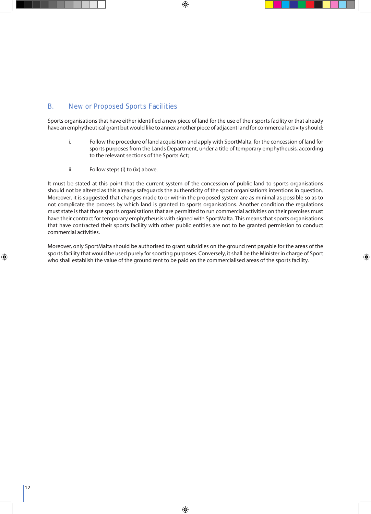$\bigoplus$ 

#### B. New or Proposed Sports Facilities

Sports organisations that have either identified a new piece of land for the use of their sports facility or that already have an emphytheutical grant but would like to annex another piece of adjacent land for commercial activity should:

- i. Follow the procedure of land acquisition and apply with SportMalta, for the concession of land for sports purposes from the Lands Department, under a title of temporary emphytheusis, according to the relevant sections of the Sports Act;
- ii. Follow steps (i) to (ix) above.

It must be stated at this point that the current system of the concession of public land to sports organisations should not be altered as this already safeguards the authenticity of the sport organisation's intentions in question. Moreover, it is suggested that changes made to or within the proposed system are as minimal as possible so as to not complicate the process by which land is granted to sports organisations. Another condition the regulations must state is that those sports organisations that are permitted to run commercial activities on their premises must have their contract for temporary emphytheusis with signed with SportMalta. This means that sports organisations that have contracted their sports facility with other public entities are not to be granted permission to conduct commercial activities.

Moreover, only SportMalta should be authorised to grant subsidies on the ground rent payable for the areas of the sports facility that would be used purely for sporting purposes. Conversely, it shall be the Minister in charge of Sport who shall establish the value of the ground rent to be paid on the commercialised areas of the sports facility.

 $\bigoplus$ 

⊕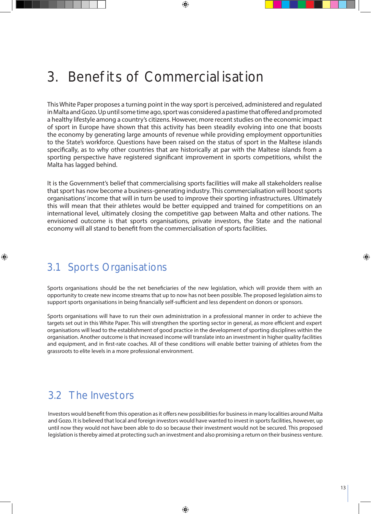# 3. Benefits of Commercialisation

This White Paper proposes a turning point in the way sport is perceived, administered and regulated in Malta and Gozo. Up until some time ago, sport was considered a pastime that offered and promoted a healthy lifestyle among a country's citizens. However, more recent studies on the economic impact of sport in Europe have shown that this activity has been steadily evolving into one that boosts the economy by generating large amounts of revenue while providing employment opportunities to the State's workforce. Questions have been raised on the status of sport in the Maltese islands specifically, as to why other countries that are historically at par with the Maltese islands from a sporting perspective have registered significant improvement in sports competitions, whilst the Malta has lagged behind.

⊕

It is the Government's belief that commercialising sports facilities will make all stakeholders realise that sport has now become a business-generating industry. This commercialisation will boost sports organisations' income that will in turn be used to improve their sporting infrastructures. Ultimately this will mean that their athletes would be better equipped and trained for competitions on an international level, ultimately closing the competitive gap between Malta and other nations. The envisioned outcome is that sports organisations, private investors, the State and the national economy will all stand to benefit from the commercialisation of sports facilities.

### 3.1 Sports Organisations

⊕

Sports organisations should be the net beneficiaries of the new legislation, which will provide them with an opportunity to create new income streams that up to now has not been possible. The proposed legislation aims to support sports organisations in being financially self-sufficient and less dependent on donors or sponsors.

Sports organisations will have to run their own administration in a professional manner in order to achieve the targets set out in this White Paper. This will strengthen the sporting sector in general, as more efficient and expert organisations will lead to the establishment of good practice in the development of sporting disciplines within the organisation. Another outcome is that increased income will translate into an investment in higher quality facilities and equipment, and in first-rate coaches. All of these conditions will enable better training of athletes from the grassroots to elite levels in a more professional environment.

### 3.2 The Investors

Investors would benefit from this operation as it offers new possibilities for business in many localities around Malta and Gozo. It is believed that local and foreign investors would have wanted to invest in sports facilities, however, up until now they would not have been able to do so because their investment would not be secured. This proposed legislation is thereby aimed at protecting such an investment and also promising a return on their business venture.

⊕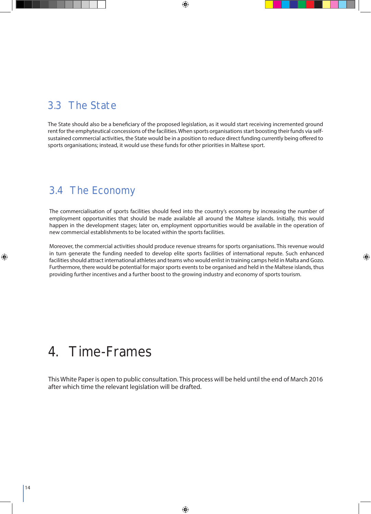### 3.3 The State

The State should also be a beneficiary of the proposed legislation, as it would start receiving incremented ground rent for the emphyteutical concessions of the facilities. When sports organisations start boosting their funds via selfsustained commercial activities, the State would be in a position to reduce direct funding currently being offered to sports organisations; instead, it would use these funds for other priorities in Maltese sport.

 $\bigoplus$ 

### 3.4 The Economy

The commercialisation of sports facilities should feed into the country's economy by increasing the number of employment opportunities that should be made available all around the Maltese islands. Initially, this would happen in the development stages; later on, employment opportunities would be available in the operation of new commercial establishments to be located within the sports facilities.

Moreover, the commercial activities should produce revenue streams for sports organisations. This revenue would in turn generate the funding needed to develop elite sports facilities of international repute. Such enhanced facilities should attract international athletes and teams who would enlist in training camps held in Malta and Gozo. Furthermore, there would be potential for major sports events to be organised and held in the Maltese islands, thus providing further incentives and a further boost to the growing industry and economy of sports tourism.

⊕

# 4. Time-Frames

This White Paper is open to public consultation. This process will be held until the end of March 2016 after which time the relevant legislation will be drafted.

 $\bigoplus$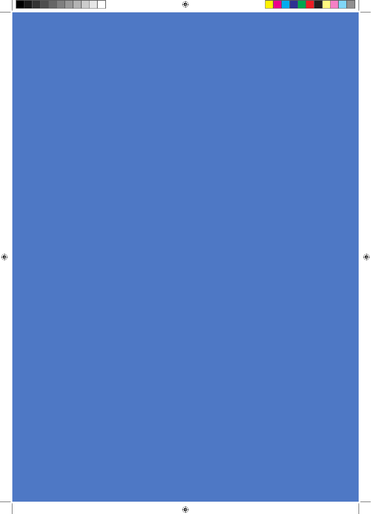